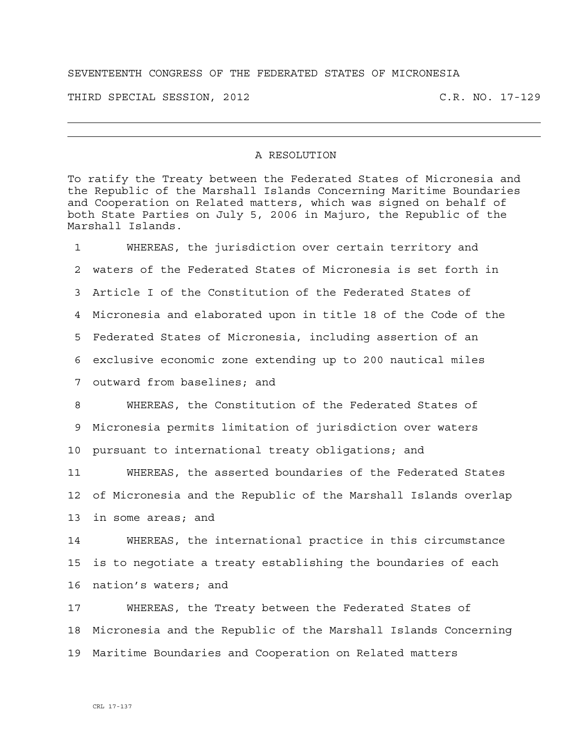## SEVENTEENTH CONGRESS OF THE FEDERATED STATES OF MICRONESIA

THIRD SPECIAL SESSION, 2012 C.R. NO. 17-129

## A RESOLUTION

To ratify the Treaty between the Federated States of Micronesia and the Republic of the Marshall Islands Concerning Maritime Boundaries and Cooperation on Related matters, which was signed on behalf of both State Parties on July 5, 2006 in Majuro, the Republic of the Marshall Islands.

1 WHEREAS, the jurisdiction over certain territory and 2 waters of the Federated States of Micronesia is set forth in 3 Article I of the Constitution of the Federated States of 4 Micronesia and elaborated upon in title 18 of the Code of the 5 Federated States of Micronesia, including assertion of an 6 exclusive economic zone extending up to 200 nautical miles 7 outward from baselines; and

8 WHEREAS, the Constitution of the Federated States of 9 Micronesia permits limitation of jurisdiction over waters 10 pursuant to international treaty obligations; and

11 WHEREAS, the asserted boundaries of the Federated States 12 of Micronesia and the Republic of the Marshall Islands overlap 13 in some areas; and

14 WHEREAS, the international practice in this circumstance 15 is to negotiate a treaty establishing the boundaries of each 16 nation's waters; and

17 WHEREAS, the Treaty between the Federated States of 18 Micronesia and the Republic of the Marshall Islands Concerning 19 Maritime Boundaries and Cooperation on Related matters